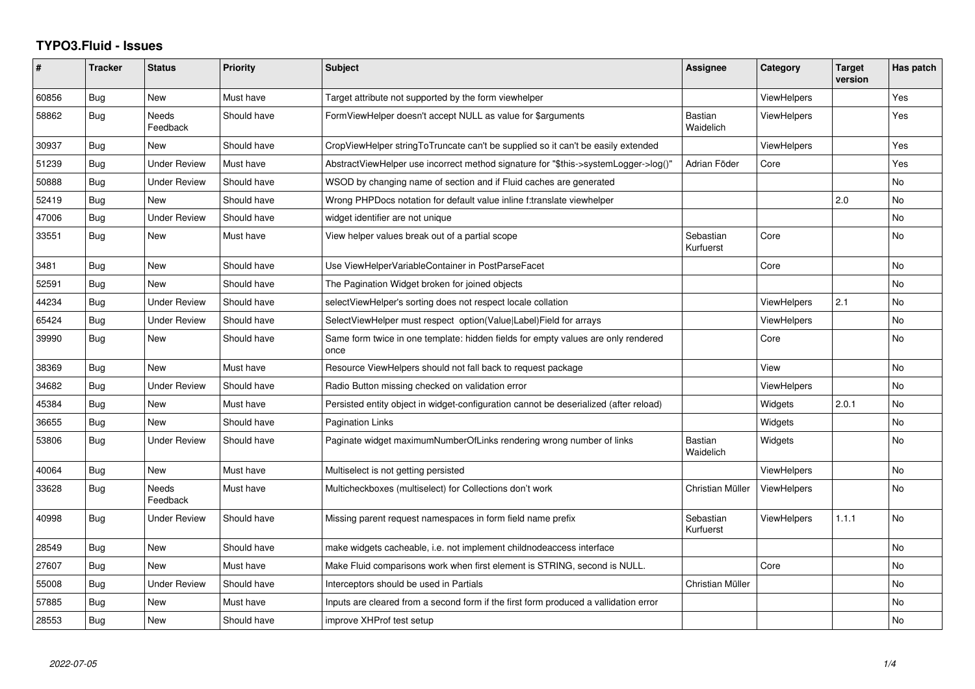## **TYPO3.Fluid - Issues**

| ∦     | <b>Tracker</b> | <b>Status</b>       | <b>Priority</b> | <b>Subject</b>                                                                            | Assignee                    | Category           | <b>Target</b><br>version | Has patch |
|-------|----------------|---------------------|-----------------|-------------------------------------------------------------------------------------------|-----------------------------|--------------------|--------------------------|-----------|
| 60856 | Bug            | <b>New</b>          | Must have       | Target attribute not supported by the form viewhelper                                     |                             | ViewHelpers        |                          | Yes       |
| 58862 | Bug            | Needs<br>Feedback   | Should have     | FormViewHelper doesn't accept NULL as value for \$arguments                               | <b>Bastian</b><br>Waidelich | <b>ViewHelpers</b> |                          | Yes       |
| 30937 | <b>Bug</b>     | New                 | Should have     | CropViewHelper stringToTruncate can't be supplied so it can't be easily extended          |                             | <b>ViewHelpers</b> |                          | Yes       |
| 51239 | Bug            | <b>Under Review</b> | Must have       | AbstractViewHelper use incorrect method signature for "\$this->systemLogger->log()"       | Adrian Föder                | Core               |                          | Yes       |
| 50888 | Bug            | <b>Under Review</b> | Should have     | WSOD by changing name of section and if Fluid caches are generated                        |                             |                    |                          | No        |
| 52419 | Bug            | <b>New</b>          | Should have     | Wrong PHPDocs notation for default value inline f:translate viewhelper                    |                             |                    | 2.0                      | No        |
| 47006 | Bug            | Under Review        | Should have     | widget identifier are not unique                                                          |                             |                    |                          | <b>No</b> |
| 33551 | Bug            | <b>New</b>          | Must have       | View helper values break out of a partial scope                                           | Sebastian<br>Kurfuerst      | Core               |                          | <b>No</b> |
| 3481  | Bug            | New                 | Should have     | Use ViewHelperVariableContainer in PostParseFacet                                         |                             | Core               |                          | No        |
| 52591 | Bug            | New                 | Should have     | The Pagination Widget broken for joined objects                                           |                             |                    |                          | No        |
| 44234 | Bug            | <b>Under Review</b> | Should have     | selectViewHelper's sorting does not respect locale collation                              |                             | <b>ViewHelpers</b> | 2.1                      | No        |
| 65424 | Bug            | Under Review        | Should have     | SelectViewHelper must respect option(Value Label)Field for arrays                         |                             | <b>ViewHelpers</b> |                          | <b>No</b> |
| 39990 | Bug            | <b>New</b>          | Should have     | Same form twice in one template: hidden fields for empty values are only rendered<br>once |                             | Core               |                          | <b>No</b> |
| 38369 | Bug            | <b>New</b>          | Must have       | Resource ViewHelpers should not fall back to request package                              |                             | View               |                          | <b>No</b> |
| 34682 | Bug            | <b>Under Review</b> | Should have     | Radio Button missing checked on validation error                                          |                             | <b>ViewHelpers</b> |                          | <b>No</b> |
| 45384 | <b>Bug</b>     | New                 | Must have       | Persisted entity object in widget-configuration cannot be deserialized (after reload)     |                             | Widgets            | 2.0.1                    | No        |
| 36655 | Bug            | New                 | Should have     | <b>Pagination Links</b>                                                                   |                             | Widgets            |                          | <b>No</b> |
| 53806 | Bug            | Under Review        | Should have     | Paginate widget maximumNumberOfLinks rendering wrong number of links                      | <b>Bastian</b><br>Waidelich | Widgets            |                          | No        |
| 40064 | Bug            | <b>New</b>          | Must have       | Multiselect is not getting persisted                                                      |                             | <b>ViewHelpers</b> |                          | <b>No</b> |
| 33628 | Bug            | Needs<br>Feedback   | Must have       | Multicheckboxes (multiselect) for Collections don't work                                  | Christian Müller            | <b>ViewHelpers</b> |                          | No        |
| 40998 | <b>Bug</b>     | <b>Under Review</b> | Should have     | Missing parent request namespaces in form field name prefix                               | Sebastian<br>Kurfuerst      | <b>ViewHelpers</b> | 1.1.1                    | <b>No</b> |
| 28549 | Bug            | <b>New</b>          | Should have     | make widgets cacheable, i.e. not implement childnodeaccess interface                      |                             |                    |                          | <b>No</b> |
| 27607 | <b>Bug</b>     | <b>New</b>          | Must have       | Make Fluid comparisons work when first element is STRING, second is NULL.                 |                             | Core               |                          | No        |
| 55008 | Bug            | <b>Under Review</b> | Should have     | Interceptors should be used in Partials                                                   | Christian Müller            |                    |                          | No        |
| 57885 | Bug            | New                 | Must have       | Inputs are cleared from a second form if the first form produced a vallidation error      |                             |                    |                          | No        |
| 28553 | Bug            | <b>New</b>          | Should have     | improve XHProf test setup                                                                 |                             |                    |                          | No.       |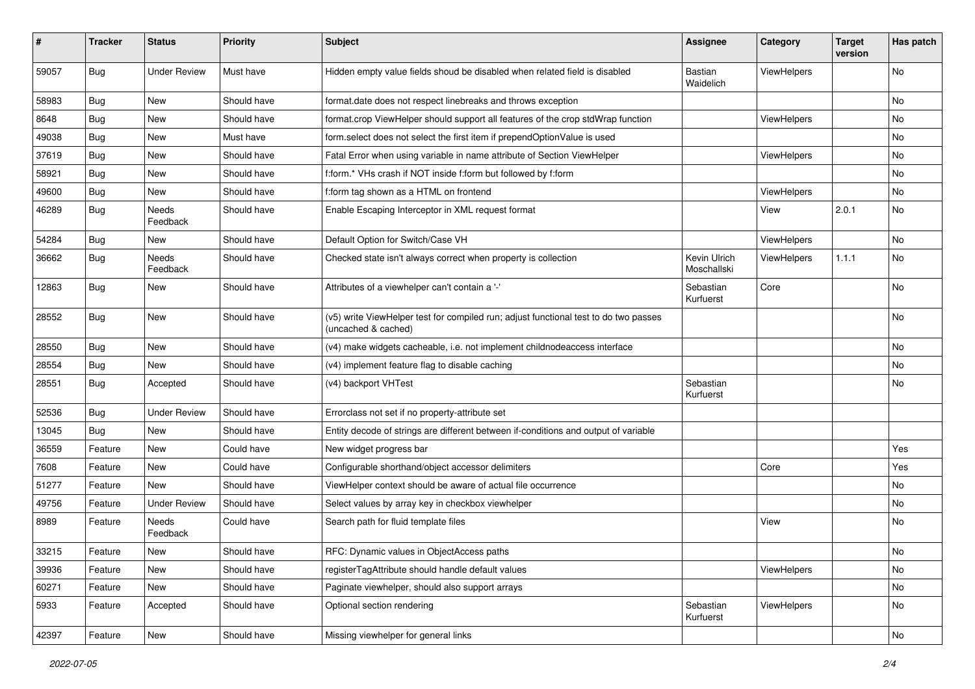| #     | <b>Tracker</b> | <b>Status</b>            | <b>Priority</b> | <b>Subject</b>                                                                                              | <b>Assignee</b>             | Category           | <b>Target</b><br>version | Has patch |
|-------|----------------|--------------------------|-----------------|-------------------------------------------------------------------------------------------------------------|-----------------------------|--------------------|--------------------------|-----------|
| 59057 | Bug            | <b>Under Review</b>      | Must have       | Hidden empty value fields shoud be disabled when related field is disabled                                  | Bastian<br>Waidelich        | ViewHelpers        |                          | No        |
| 58983 | <b>Bug</b>     | New                      | Should have     | format.date does not respect linebreaks and throws exception                                                |                             |                    |                          | No        |
| 8648  | Bug            | New                      | Should have     | format.crop ViewHelper should support all features of the crop stdWrap function                             |                             | ViewHelpers        |                          | No        |
| 49038 | <b>Bug</b>     | New                      | Must have       | form.select does not select the first item if prependOptionValue is used                                    |                             |                    |                          | No        |
| 37619 | Bug            | New                      | Should have     | Fatal Error when using variable in name attribute of Section ViewHelper                                     |                             | <b>ViewHelpers</b> |                          | No.       |
| 58921 | <b>Bug</b>     | New                      | Should have     | f:form.* VHs crash if NOT inside f:form but followed by f:form                                              |                             |                    |                          | No        |
| 49600 | <b>Bug</b>     | New                      | Should have     | f:form tag shown as a HTML on frontend                                                                      |                             | ViewHelpers        |                          | No        |
| 46289 | Bug            | <b>Needs</b><br>Feedback | Should have     | Enable Escaping Interceptor in XML request format                                                           |                             | View               | 2.0.1                    | No        |
| 54284 | <b>Bug</b>     | New                      | Should have     | Default Option for Switch/Case VH                                                                           |                             | ViewHelpers        |                          | No        |
| 36662 | Bug            | Needs<br>Feedback        | Should have     | Checked state isn't always correct when property is collection                                              | Kevin Ulrich<br>Moschallski | ViewHelpers        | 1.1.1                    | No        |
| 12863 | Bug            | New                      | Should have     | Attributes of a viewhelper can't contain a '-'                                                              | Sebastian<br>Kurfuerst      | Core               |                          | No        |
| 28552 | Bug            | New                      | Should have     | (v5) write ViewHelper test for compiled run; adjust functional test to do two passes<br>(uncached & cached) |                             |                    |                          | No        |
| 28550 | Bug            | New                      | Should have     | (v4) make widgets cacheable, i.e. not implement childnodeaccess interface                                   |                             |                    |                          | No        |
| 28554 | Bug            | New                      | Should have     | (v4) implement feature flag to disable caching                                                              |                             |                    |                          | No        |
| 28551 | Bug            | Accepted                 | Should have     | (v4) backport VHTest                                                                                        | Sebastian<br>Kurfuerst      |                    |                          | No        |
| 52536 | Bug            | <b>Under Review</b>      | Should have     | Errorclass not set if no property-attribute set                                                             |                             |                    |                          |           |
| 13045 | Bug            | New                      | Should have     | Entity decode of strings are different between if-conditions and output of variable                         |                             |                    |                          |           |
| 36559 | Feature        | New                      | Could have      | New widget progress bar                                                                                     |                             |                    |                          | Yes       |
| 7608  | Feature        | New                      | Could have      | Configurable shorthand/object accessor delimiters                                                           |                             | Core               |                          | Yes       |
| 51277 | Feature        | New                      | Should have     | ViewHelper context should be aware of actual file occurrence                                                |                             |                    |                          | No        |
| 49756 | Feature        | <b>Under Review</b>      | Should have     | Select values by array key in checkbox viewhelper                                                           |                             |                    |                          | No        |
| 8989  | Feature        | <b>Needs</b><br>Feedback | Could have      | Search path for fluid template files                                                                        |                             | View               |                          | No        |
| 33215 | Feature        | New                      | Should have     | RFC: Dynamic values in ObjectAccess paths                                                                   |                             |                    |                          | No        |
| 39936 | Feature        | New                      | Should have     | registerTagAttribute should handle default values                                                           |                             | ViewHelpers        |                          | No        |
| 60271 | Feature        | New                      | Should have     | Paginate viewhelper, should also support arrays                                                             |                             |                    |                          | No        |
| 5933  | Feature        | Accepted                 | Should have     | Optional section rendering                                                                                  | Sebastian<br>Kurfuerst      | ViewHelpers        |                          | No        |
| 42397 | Feature        | New                      | Should have     | Missing viewhelper for general links                                                                        |                             |                    |                          | No        |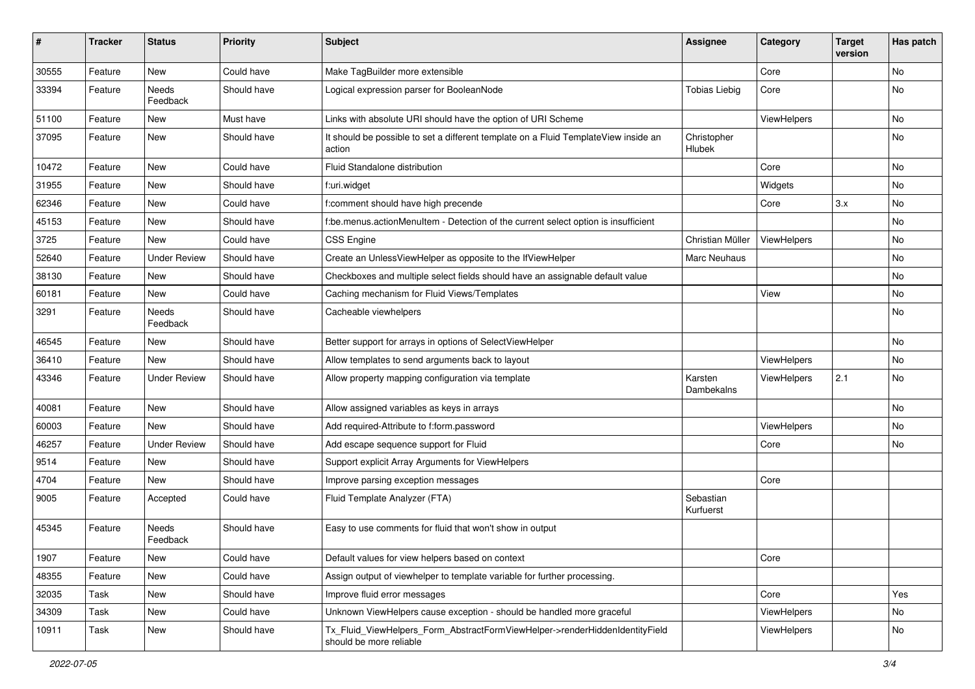| $\pmb{\#}$ | <b>Tracker</b> | <b>Status</b>       | <b>Priority</b> | <b>Subject</b>                                                                                         | <b>Assignee</b>        | Category    | <b>Target</b><br>version | Has patch |
|------------|----------------|---------------------|-----------------|--------------------------------------------------------------------------------------------------------|------------------------|-------------|--------------------------|-----------|
| 30555      | Feature        | New                 | Could have      | Make TagBuilder more extensible                                                                        |                        | Core        |                          | <b>No</b> |
| 33394      | Feature        | Needs<br>Feedback   | Should have     | Logical expression parser for BooleanNode                                                              | <b>Tobias Liebig</b>   | Core        |                          | No        |
| 51100      | Feature        | New                 | Must have       | Links with absolute URI should have the option of URI Scheme                                           |                        | ViewHelpers |                          | No        |
| 37095      | Feature        | New                 | Should have     | It should be possible to set a different template on a Fluid TemplateView inside an<br>action          | Christopher<br>Hlubek  |             |                          | No        |
| 10472      | Feature        | New                 | Could have      | Fluid Standalone distribution                                                                          |                        | Core        |                          | No        |
| 31955      | Feature        | New                 | Should have     | f:uri.widget                                                                                           |                        | Widgets     |                          | No        |
| 62346      | Feature        | <b>New</b>          | Could have      | f:comment should have high precende                                                                    |                        | Core        | 3.x                      | No        |
| 45153      | Feature        | New                 | Should have     | f:be.menus.actionMenuItem - Detection of the current select option is insufficient                     |                        |             |                          | No        |
| 3725       | Feature        | New                 | Could have      | <b>CSS Engine</b>                                                                                      | Christian Müller       | ViewHelpers |                          | No        |
| 52640      | Feature        | <b>Under Review</b> | Should have     | Create an UnlessViewHelper as opposite to the IfViewHelper                                             | Marc Neuhaus           |             |                          | No        |
| 38130      | Feature        | New                 | Should have     | Checkboxes and multiple select fields should have an assignable default value                          |                        |             |                          | No        |
| 60181      | Feature        | New                 | Could have      | Caching mechanism for Fluid Views/Templates                                                            |                        | View        |                          | No        |
| 3291       | Feature        | Needs<br>Feedback   | Should have     | Cacheable viewhelpers                                                                                  |                        |             |                          | No        |
| 46545      | Feature        | New                 | Should have     | Better support for arrays in options of SelectViewHelper                                               |                        |             |                          | <b>No</b> |
| 36410      | Feature        | New                 | Should have     | Allow templates to send arguments back to layout                                                       |                        | ViewHelpers |                          | No        |
| 43346      | Feature        | <b>Under Review</b> | Should have     | Allow property mapping configuration via template                                                      | Karsten<br>Dambekalns  | ViewHelpers | 2.1                      | No        |
| 40081      | Feature        | <b>New</b>          | Should have     | Allow assigned variables as keys in arrays                                                             |                        |             |                          | No        |
| 60003      | Feature        | New                 | Should have     | Add required-Attribute to f:form.password                                                              |                        | ViewHelpers |                          | No        |
| 46257      | Feature        | <b>Under Review</b> | Should have     | Add escape sequence support for Fluid                                                                  |                        | Core        |                          | No        |
| 9514       | Feature        | New                 | Should have     | Support explicit Array Arguments for ViewHelpers                                                       |                        |             |                          |           |
| 4704       | Feature        | <b>New</b>          | Should have     | Improve parsing exception messages                                                                     |                        | Core        |                          |           |
| 9005       | Feature        | Accepted            | Could have      | Fluid Template Analyzer (FTA)                                                                          | Sebastian<br>Kurfuerst |             |                          |           |
| 45345      | Feature        | Needs<br>Feedback   | Should have     | Easy to use comments for fluid that won't show in output                                               |                        |             |                          |           |
| 1907       | Feature        | New                 | Could have      | Default values for view helpers based on context                                                       |                        | Core        |                          |           |
| 48355      | Feature        | New                 | Could have      | Assign output of viewhelper to template variable for further processing.                               |                        |             |                          |           |
| 32035      | Task           | New                 | Should have     | Improve fluid error messages                                                                           |                        | Core        |                          | Yes       |
| 34309      | Task           | New                 | Could have      | Unknown ViewHelpers cause exception - should be handled more graceful                                  |                        | ViewHelpers |                          | No        |
| 10911      | Task           | New                 | Should have     | Tx Fluid ViewHelpers Form AbstractFormViewHelper->renderHiddenIdentityField<br>should be more reliable |                        | ViewHelpers |                          | No        |